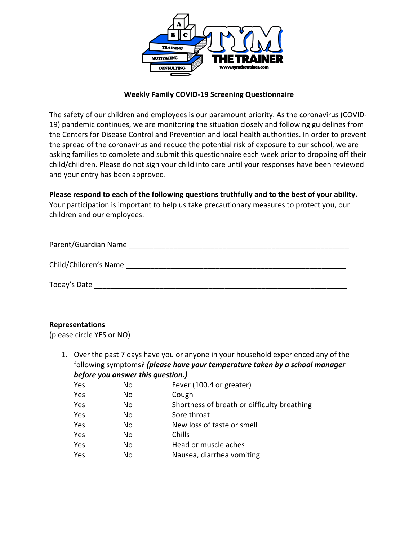

## **Weekly Family COVID-19 Screening Questionnaire**

The safety of our children and employees is our paramount priority. As the coronavirus (COVID-19) pandemic continues, we are monitoring the situation closely and following guidelines from the Centers for Disease Control and Prevention and local health authorities. In order to prevent the spread of the coronavirus and reduce the potential risk of exposure to our school, we are asking families to complete and submit this questionnaire each week prior to dropping off their child/children. Please do not sign your child into care until your responses have been reviewed and your entry has been approved.

## **Please respond to each of the following questions truthfully and to the best of your ability.**

Your participation is important to help us take precautionary measures to protect you, our children and our employees.

| Parent/Guardian Name  |
|-----------------------|
|                       |
| Child/Children's Name |
|                       |
| Today's Date          |

#### **Representations**

(please circle YES or NO)

1. Over the past 7 days have you or anyone in your household experienced any of the following symptoms? *(please have your temperature taken by a school manager before you answer this question.)*

| Yes | No  | Fever (100.4 or greater)                    |
|-----|-----|---------------------------------------------|
| Yes | No  | Cough                                       |
| Yes | No. | Shortness of breath or difficulty breathing |
| Yes | No. | Sore throat                                 |
| Yes | No  | New loss of taste or smell                  |
| Yes | No  | Chills                                      |
| Yes | No  | Head or muscle aches                        |
| Yes | No  | Nausea, diarrhea vomiting                   |